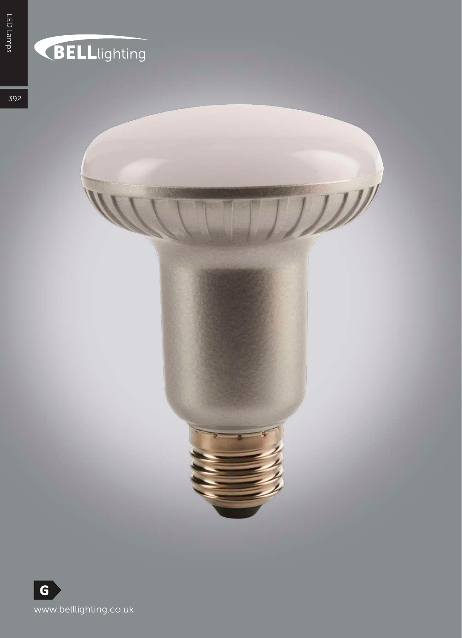## **BELL**lighting

 $\mathcal{W}^{\prime}$